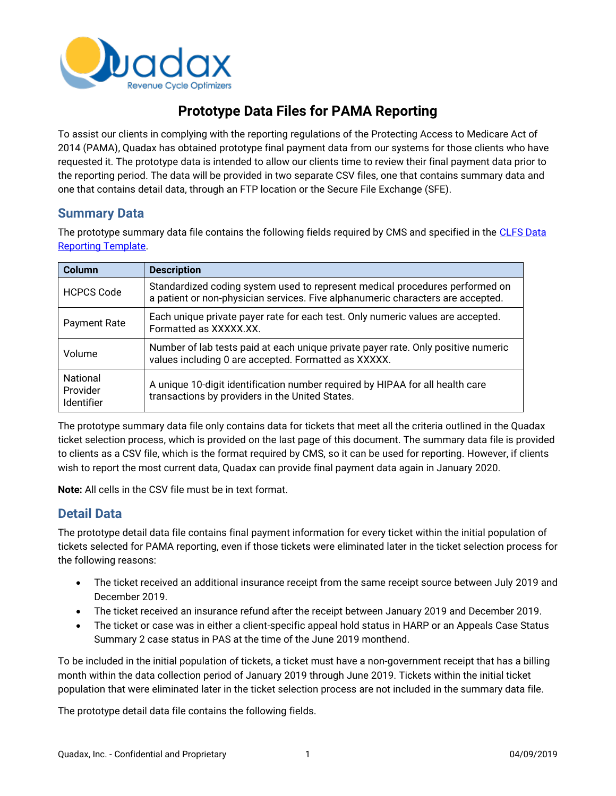

# **Prototype Data Files for PAMA Reporting**

To assist our clients in complying with the reporting regulations of the Protecting Access to Medicare Act of 2014 (PAMA), Quadax has obtained prototype final payment data from our systems for those clients who have requested it. The prototype data is intended to allow our clients time to review their final payment data prior to the reporting period. The data will be provided in two separate CSV files, one that contains summary data and one that contains detail data, through an FTP location or the Secure File Exchange (SFE).

#### **Summary Data**

The prototype summary data file contains the following fields required by CMS and specified in the CLFS Data [Reporting Template.](https://www.cms.gov/Medicare/Medicare-Fee-for-Service-Payment/ClinicalLabFeeSched/Downloads/CLFS-Data-Collection-Form.zip)

| <b>Column</b>                                    | <b>Description</b>                                                                                                                                              |
|--------------------------------------------------|-----------------------------------------------------------------------------------------------------------------------------------------------------------------|
| <b>HCPCS Code</b>                                | Standardized coding system used to represent medical procedures performed on<br>a patient or non-physician services. Five alphanumeric characters are accepted. |
| <b>Payment Rate</b>                              | Each unique private payer rate for each test. Only numeric values are accepted.<br>Formatted as XXXXX.XX.                                                       |
| Volume                                           | Number of lab tests paid at each unique private payer rate. Only positive numeric<br>values including 0 are accepted. Formatted as XXXXX.                       |
| <b>National</b><br>Provider<br><b>Identifier</b> | A unique 10-digit identification number required by HIPAA for all health care<br>transactions by providers in the United States.                                |

The prototype summary data file only contains data for tickets that meet all the criteria outlined in the Quadax ticket selection process, which is provided on the last page of this document. The summary data file is provided to clients as a CSV file, which is the format required by CMS, so it can be used for reporting. However, if clients wish to report the most current data, Quadax can provide final payment data again in January 2020.

**Note:** All cells in the CSV file must be in text format.

### **Detail Data**

The prototype detail data file contains final payment information for every ticket within the initial population of tickets selected for PAMA reporting, even if those tickets were eliminated later in the ticket selection process for the following reasons:

- The ticket received an additional insurance receipt from the same receipt source between July 2019 and December 2019.
- The ticket received an insurance refund after the receipt between January 2019 and December 2019.
- The ticket or case was in either a client-specific appeal hold status in HARP or an Appeals Case Status Summary 2 case status in PAS at the time of the June 2019 monthend.

To be included in the initial population of tickets, a ticket must have a non-government receipt that has a billing month within the data collection period of January 2019 through June 2019. Tickets within the initial ticket population that were eliminated later in the ticket selection process are not included in the summary data file.

The prototype detail data file contains the following fields.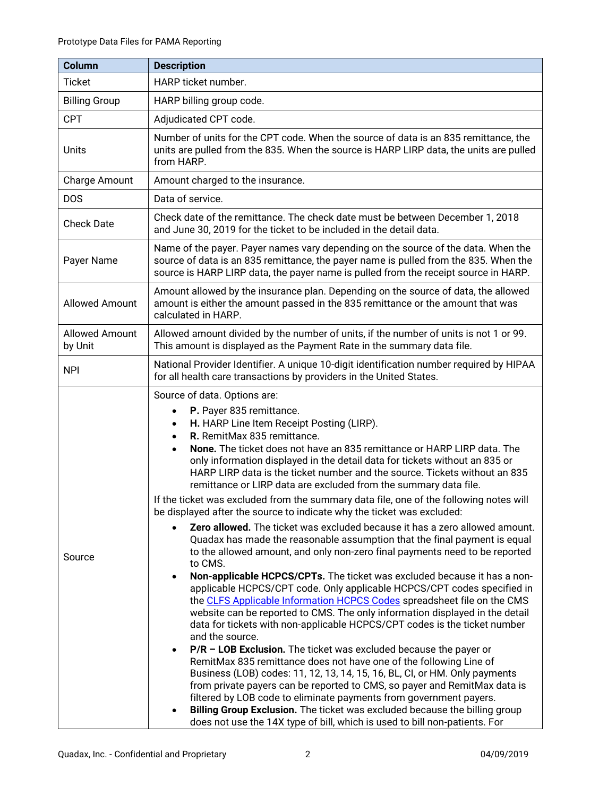| <b>Column</b>                    | <b>Description</b>                                                                                                                                                                                                                                                                                                                                                                                                                                                                                                                                                                                                                                                                                                                                                                                                                                                                                                                                                                                                                                                                                                                                                                                                                                                                                                                                                                                                                                                                                                                                                                                                                                                                                                                                                                                                                                                                 |
|----------------------------------|------------------------------------------------------------------------------------------------------------------------------------------------------------------------------------------------------------------------------------------------------------------------------------------------------------------------------------------------------------------------------------------------------------------------------------------------------------------------------------------------------------------------------------------------------------------------------------------------------------------------------------------------------------------------------------------------------------------------------------------------------------------------------------------------------------------------------------------------------------------------------------------------------------------------------------------------------------------------------------------------------------------------------------------------------------------------------------------------------------------------------------------------------------------------------------------------------------------------------------------------------------------------------------------------------------------------------------------------------------------------------------------------------------------------------------------------------------------------------------------------------------------------------------------------------------------------------------------------------------------------------------------------------------------------------------------------------------------------------------------------------------------------------------------------------------------------------------------------------------------------------------|
| <b>Ticket</b>                    | HARP ticket number.                                                                                                                                                                                                                                                                                                                                                                                                                                                                                                                                                                                                                                                                                                                                                                                                                                                                                                                                                                                                                                                                                                                                                                                                                                                                                                                                                                                                                                                                                                                                                                                                                                                                                                                                                                                                                                                                |
| <b>Billing Group</b>             | HARP billing group code.                                                                                                                                                                                                                                                                                                                                                                                                                                                                                                                                                                                                                                                                                                                                                                                                                                                                                                                                                                                                                                                                                                                                                                                                                                                                                                                                                                                                                                                                                                                                                                                                                                                                                                                                                                                                                                                           |
| <b>CPT</b>                       | Adjudicated CPT code.                                                                                                                                                                                                                                                                                                                                                                                                                                                                                                                                                                                                                                                                                                                                                                                                                                                                                                                                                                                                                                                                                                                                                                                                                                                                                                                                                                                                                                                                                                                                                                                                                                                                                                                                                                                                                                                              |
| Units                            | Number of units for the CPT code. When the source of data is an 835 remittance, the<br>units are pulled from the 835. When the source is HARP LIRP data, the units are pulled<br>from HARP.                                                                                                                                                                                                                                                                                                                                                                                                                                                                                                                                                                                                                                                                                                                                                                                                                                                                                                                                                                                                                                                                                                                                                                                                                                                                                                                                                                                                                                                                                                                                                                                                                                                                                        |
| Charge Amount                    | Amount charged to the insurance.                                                                                                                                                                                                                                                                                                                                                                                                                                                                                                                                                                                                                                                                                                                                                                                                                                                                                                                                                                                                                                                                                                                                                                                                                                                                                                                                                                                                                                                                                                                                                                                                                                                                                                                                                                                                                                                   |
| <b>DOS</b>                       | Data of service.                                                                                                                                                                                                                                                                                                                                                                                                                                                                                                                                                                                                                                                                                                                                                                                                                                                                                                                                                                                                                                                                                                                                                                                                                                                                                                                                                                                                                                                                                                                                                                                                                                                                                                                                                                                                                                                                   |
| <b>Check Date</b>                | Check date of the remittance. The check date must be between December 1, 2018<br>and June 30, 2019 for the ticket to be included in the detail data.                                                                                                                                                                                                                                                                                                                                                                                                                                                                                                                                                                                                                                                                                                                                                                                                                                                                                                                                                                                                                                                                                                                                                                                                                                                                                                                                                                                                                                                                                                                                                                                                                                                                                                                               |
| Payer Name                       | Name of the payer. Payer names vary depending on the source of the data. When the<br>source of data is an 835 remittance, the payer name is pulled from the 835. When the<br>source is HARP LIRP data, the payer name is pulled from the receipt source in HARP.                                                                                                                                                                                                                                                                                                                                                                                                                                                                                                                                                                                                                                                                                                                                                                                                                                                                                                                                                                                                                                                                                                                                                                                                                                                                                                                                                                                                                                                                                                                                                                                                                   |
| <b>Allowed Amount</b>            | Amount allowed by the insurance plan. Depending on the source of data, the allowed<br>amount is either the amount passed in the 835 remittance or the amount that was<br>calculated in HARP.                                                                                                                                                                                                                                                                                                                                                                                                                                                                                                                                                                                                                                                                                                                                                                                                                                                                                                                                                                                                                                                                                                                                                                                                                                                                                                                                                                                                                                                                                                                                                                                                                                                                                       |
| <b>Allowed Amount</b><br>by Unit | Allowed amount divided by the number of units, if the number of units is not 1 or 99.<br>This amount is displayed as the Payment Rate in the summary data file.                                                                                                                                                                                                                                                                                                                                                                                                                                                                                                                                                                                                                                                                                                                                                                                                                                                                                                                                                                                                                                                                                                                                                                                                                                                                                                                                                                                                                                                                                                                                                                                                                                                                                                                    |
| <b>NPI</b>                       | National Provider Identifier. A unique 10-digit identification number required by HIPAA<br>for all health care transactions by providers in the United States.                                                                                                                                                                                                                                                                                                                                                                                                                                                                                                                                                                                                                                                                                                                                                                                                                                                                                                                                                                                                                                                                                                                                                                                                                                                                                                                                                                                                                                                                                                                                                                                                                                                                                                                     |
| Source                           | Source of data. Options are:<br>P. Payer 835 remittance.<br>$\bullet$<br>H. HARP Line Item Receipt Posting (LIRP).<br>$\bullet$<br>R. RemitMax 835 remittance.<br>$\bullet$<br>None. The ticket does not have an 835 remittance or HARP LIRP data. The<br>only information displayed in the detail data for tickets without an 835 or<br>HARP LIRP data is the ticket number and the source. Tickets without an 835<br>remittance or LIRP data are excluded from the summary data file.<br>If the ticket was excluded from the summary data file, one of the following notes will<br>be displayed after the source to indicate why the ticket was excluded:<br>Zero allowed. The ticket was excluded because it has a zero allowed amount.<br>Quadax has made the reasonable assumption that the final payment is equal<br>to the allowed amount, and only non-zero final payments need to be reported<br>to CMS.<br>Non-applicable HCPCS/CPTs. The ticket was excluded because it has a non-<br>٠<br>applicable HCPCS/CPT code. Only applicable HCPCS/CPT codes specified in<br>the CLFS Applicable Information HCPCS Codes spreadsheet file on the CMS<br>website can be reported to CMS. The only information displayed in the detail<br>data for tickets with non-applicable HCPCS/CPT codes is the ticket number<br>and the source.<br>$P/R$ – LOB Exclusion. The ticket was excluded because the payer or<br>RemitMax 835 remittance does not have one of the following Line of<br>Business (LOB) codes: 11, 12, 13, 14, 15, 16, BL, CI, or HM. Only payments<br>from private payers can be reported to CMS, so payer and RemitMax data is<br>filtered by LOB code to eliminate payments from government payers.<br>Billing Group Exclusion. The ticket was excluded because the billing group<br>does not use the 14X type of bill, which is used to bill non-patients. For |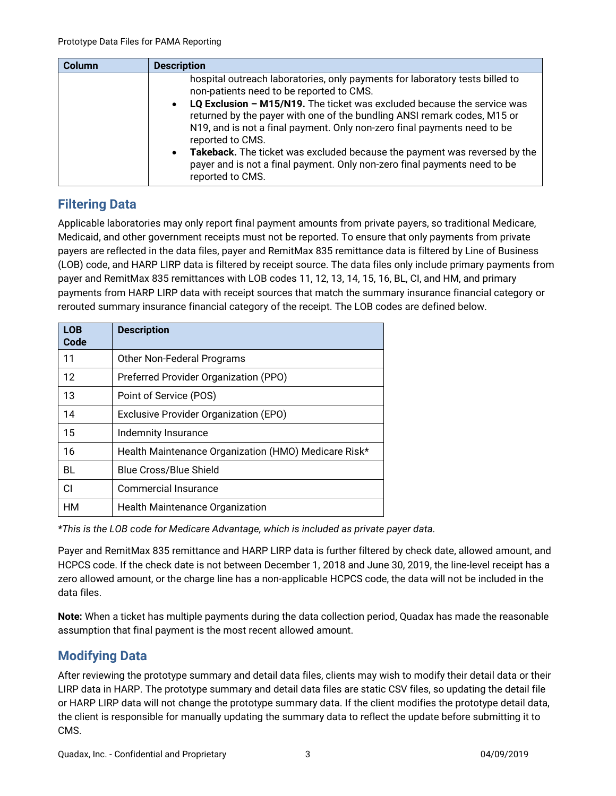| <b>Column</b> | <b>Description</b>                                                                                                                                                                                                                                                                                                                                                                                                                                          |
|---------------|-------------------------------------------------------------------------------------------------------------------------------------------------------------------------------------------------------------------------------------------------------------------------------------------------------------------------------------------------------------------------------------------------------------------------------------------------------------|
|               | hospital outreach laboratories, only payments for laboratory tests billed to<br>non-patients need to be reported to CMS.                                                                                                                                                                                                                                                                                                                                    |
|               | LQ Exclusion - M15/N19. The ticket was excluded because the service was<br>$\bullet$<br>returned by the payer with one of the bundling ANSI remark codes, M15 or<br>N19, and is not a final payment. Only non-zero final payments need to be<br>reported to CMS.<br>Takeback. The ticket was excluded because the payment was reversed by the<br>$\bullet$<br>payer and is not a final payment. Only non-zero final payments need to be<br>reported to CMS. |

## **Filtering Data**

Applicable laboratories may only report final payment amounts from private payers, so traditional Medicare, Medicaid, and other government receipts must not be reported. To ensure that only payments from private payers are reflected in the data files, payer and RemitMax 835 remittance data is filtered by Line of Business (LOB) code, and HARP LIRP data is filtered by receipt source. The data files only include primary payments from payer and RemitMax 835 remittances with LOB codes 11, 12, 13, 14, 15, 16, BL, CI, and HM, and primary payments from HARP LIRP data with receipt sources that match the summary insurance financial category or rerouted summary insurance financial category of the receipt. The LOB codes are defined below.

| <b>LOB</b><br>Code | <b>Description</b>                                   |
|--------------------|------------------------------------------------------|
| 11                 | Other Non-Federal Programs                           |
| 12                 | Preferred Provider Organization (PPO)                |
| 13                 | Point of Service (POS)                               |
| 14                 | Exclusive Provider Organization (EPO)                |
| 15                 | Indemnity Insurance                                  |
| 16                 | Health Maintenance Organization (HMO) Medicare Risk* |
| BL                 | <b>Blue Cross/Blue Shield</b>                        |
| СI                 | Commercial Insurance                                 |
| HМ                 | Health Maintenance Organization                      |

*\*This is the LOB code for Medicare Advantage, which is included as private payer data.*

Payer and RemitMax 835 remittance and HARP LIRP data is further filtered by check date, allowed amount, and HCPCS code. If the check date is not between December 1, 2018 and June 30, 2019, the line-level receipt has a zero allowed amount, or the charge line has a non-applicable HCPCS code, the data will not be included in the data files.

**Note:** When a ticket has multiple payments during the data collection period, Quadax has made the reasonable assumption that final payment is the most recent allowed amount.

## **Modifying Data**

After reviewing the prototype summary and detail data files, clients may wish to modify their detail data or their LIRP data in HARP. The prototype summary and detail data files are static CSV files, so updating the detail file or HARP LIRP data will not change the prototype summary data. If the client modifies the prototype detail data, the client is responsible for manually updating the summary data to reflect the update before submitting it to CMS.